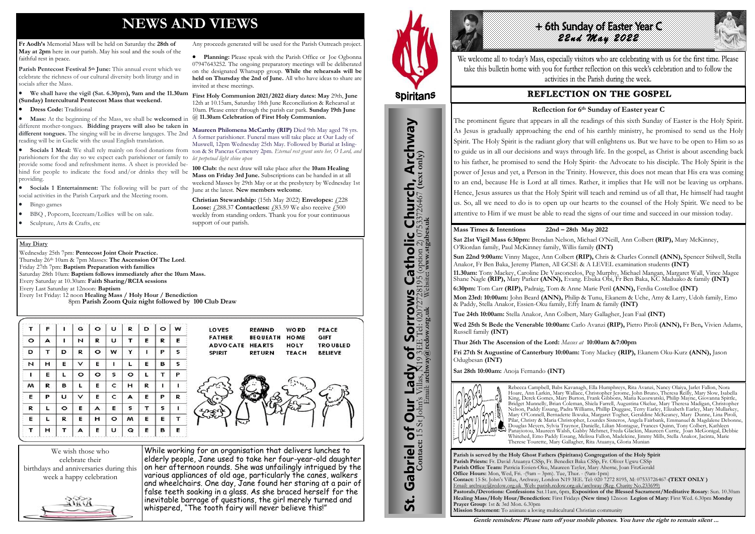# **NEWS AND VIEWS**

**Fr Aodh's** Memorial Mass will be held on Saturday the **28th of May at 2pm** here in our parish. May his soul and the souls of the faithful rest in peace.

**Parish Pentecost Festival 5th June:** This annual event which we celebrate the richness of our cultural diversity both liturgy and in socials after the Mass.

 **We shall have the vigil (Sat. 6.30pm), 9am and the 11.30am (Sunday) Intercultural Pentecost Mass that weekend.**

#### **Dress Code:** Traditional

• **Socials 1 Entertainment:** The following will be part of the June at the latest. **New members welcome**. social activities in the Parish Carpark and the Meeting room.

**Socials 1 Meal:** We shall rely mainly on food donations from ton & St Pancras Cemetery 2pm. *Eternal rest grant unto her*, O Lord, and parishioners for the day so we expect each parishioner or family to *let perpetual light shine upon* provide some food and refreshment items. A sheet is provided behind for people to indicate the food and/or drinks they will be providing. Muswell, 12pm Wednesday 25th May. Followed by Burial at Isling-**100 Club:** the next draw will take place after the **10am Healing Mass on Friday 3rd June.** Subscriptions can be handed in at all weekend Masses by 29th May or at the presbytery by Wednesday 1st

- Bingo games
- BBQ , Popcorn, Icecream/Lollies will be on sale.
- Sculpture, Arts & Crafts, etc

 **Mass:** At the beginning of the Mass, we shall be **welcomed** in different mother-tongues. **Bidding prayers will also be taken in different tongues.** The singing will be in diverse languges. The 2nd reading will be in Gaelic with the usual English translation. @ **11.30am Celebration of First Holy Communion. Maureen Philomena McCarthy (RIP)** Died 9th May aged 78 yrs. A former parishioner. Funeral mass will take place at Our Lady of

Any proceeds generated will be used for the Parish Outreach project. **Planning:** Please speak with the Parish Office or Joe Ogbonna 07947643252. The ongoing preparatory meetings will be deliberated on the designated Whatsapp group. **While the rehearsals will be held on Thursday the 2nd of June.** All who have ideas to share are

invited at these meetings.

**First Holy Communion 2021/2022 diary dates: May** 29th, **June** 12th at 10.15am, Saturday 18th June Reconciliation & Rehearsal at 10am. Please enter through the parish car park. **Sunday 19th June** 

# 4 6th sunday of Easter Year C *22nd May 2022*

We welcome all to today's Mass, especially visitors who are celebrating with us for the first time. Please take this bulletin home with you for further reflection on this week's celebration and to follow the activities in the Parish during the week.

# **REFLECTION ON THE GOSPEL**

**Christian Stewardship:** (15th May 2022) **Envelopes:** £228 **Loose: £288.37 Contactless: £83.59** We also receive **£500** weekly from standing orders. Thank you for your continuous



support of our parish.

We wish those who celebrate their birthdays and anniversaries during this week a happy celebration

While working for an organisation that delivers lunches to elderly people, Jane used to take her four-year-old daughter on her afternoon rounds. She was unfailingly intrigued by the various appliances of old age, particularly the canes, walkers and wheelchairs. One day, Jane found her staring at a pair of false teeth soaking in a glass. As she braced herself for the inevitable barrage of questions, the girl merely turned and whispered, "The tooth fairy will never believe this!"



# **Spiritans**

#### **May Diary**

Wednesday 25th 7pm: **Pentecost Joint Choir Practice.**  Thursday 26th 10am & 7pm Masses: **The Ascension Of The Lord**. Friday 27th 7pm: **Baptism Preparation with families** Saturday 28th 10am: **Baptism follows immediately after the 10am Mass.** Every Saturday at 10.30am: **Faith Sharing/RCIA sessions**  Every Last Saturday at 12noon: **Baptism**  Every 1st Friday: 12 noon **Healing Mass / Holy Hour / Benediction** 8pm **Parish Zoom Quiz night followed by 100 Club Draw**

| т       | F | п       | G       | $\circ$ | U       | R       | D | $\circ$ | W |
|---------|---|---------|---------|---------|---------|---------|---|---------|---|
| $\circ$ | А | ı       | N       | R       | U       | т       | E | R       | Е |
| D       | т | D       | R       | $\circ$ | w       | Y       | ı | Р       | s |
| N       | н | Е       | v       | E       | ı       | L       | Е | в       | s |
| ı       | E | L       | $\circ$ | o       | s       | $\circ$ | L | т       | Р |
| м       | R | в       | L       | E       | c       | н       | R | ı       | ı |
| Е       | Р | υ       | ٧       | Е       | c       | А       | Е | Р       | R |
| R       | L | $\circ$ | Е       | А       | Е       | s       | т | s       | ı |
| E       | L | R       | Е       | н       | $\circ$ | м       | Е | Е       | т |
| т       | н | т       | A       | Е       | U       | Q       | Е | в       | Е |

**LOVES REMIND WORD** PEACE **FATHER BEQUEATH HOME GIFT** ADVOCATE HEARTS HOLY **TRO UBLED SPIRIT RETURN TEACH BELIEVE** 

> **Parish is served by the Holy Ghost Fathers (Spiritans) Congregation of the Holy Spirit Parish Priests:** Fr. David Atuanya CSSp, Fr. Benedict Baka CSSp, Fr. Oliver Ugwu CSSp **Parish Office Team:** Patricia Essien-Oku, Maureen Tayler, Mary Aherne, Joan FitzGerald **Office Hours:** Mon, Wed, Fri. -(9am – 3pm). Tue, Thur. - (9am-1pm) **Contact:** 15 St. John's Villas, Archway, London N19 3EE. Tel: 020 7272 8195, M: 07533726467-**(TEXT ONLY )** Email: archway@rcdow.org.uk Web: parish.rcdow.org.uk/archway (Reg. Charity No.233699) **Pastorals/Devotions: Confessions** Sat.11am, 6pm, **Exposition of the Blessed Sacrament/Meditative Rosary**: Sun. 10.30am **Healing Mass/Holy Hour/Benediction:** First Fridays **(New time)** 12noon **Legion of Mary**: First Wed. 6.30pm **Monday Prayer Group**: 1st & 3rd Mon. 6.30pm **Mission Statement:** To animate a loving multicultural Christian community



# **Mass Times & Intentions 22nd – 28th May 2022**

**Sat 21st Vigil Mass 6:30pm:** Brendan Nelson, Michael O'Neill, Ann Colbert **(RIP),** Mary McKinney, O'Riordan family, Paul McKinney family, Willis family **(INT) Sun 22nd 9:00am:** Vinny Magee, Ann Colbert **(RIP),** Chris & Charles Connell **(ANN),** Spencer Stilwell, Stella Anakor, Fr Ben Baka, Jeremy Platten, All GCSE & A LEVEL examination students **(INT) 11.30am:** Tony Mackey, Caroline De Vasconcelos, Peg Murphy, Michael Mangan, Margaret Wall, Vince Magee Shane Nagle **(RIP),** Mary Parker **(ANN),** Evang. Ebuka Obi, Fr Ben Baka, KC Maduako & family **(INT) 6:30pm:** Tom Carr **(RIP),** Padraig, Tom & Anne Marie Peril **(ANN),** Ferdia Costelloe **(INT) Mon 23rd: 10:00am:** John Beard **(ANN),** Philip & Tunu, Ekanem & Uche, Amy & Larry, Udoh family, Emo & Paddy, Stella Anakor, Essien-Oku family, Effy Inam & family **(INT)**

**Tue 24th 10:00am:** Stella Anakor, Ann Colbert, Mary Gallagher, Jean Faal **(INT)**

**Wed 25th St Bede the Venerable 10:00am:** Carlo Avanzi **(RIP),** Pietro Piroli **(ANN),** Fr Ben**,** Vivien Adams, Russell family **(INT)** 

**Thur 26th The Ascension of the Lord:** *Masses at* **10:00am &7:00pm** 

**Fri 27th St Augustine of Canterbury 10:00am:** Tony Mackey **(RIP),** Ekanem Oku-Kurz **(ANN),** Jason Odugbesan **(INT)**

**Sat 28th 10:00am:** Anoja Fernando **(INT)**



Rebecca Campbell, Babs Kavanagh, Ella Humphreys, Rita Avanzi, Nancy Olaiya, Jarlet Fallon, Nora Hoare, Ann Larkin, Mary Wallace, Christopher Jerome, John Bruno, Theresa Reilly, Mary Slow, Isabella King, Derek Gomes, Mary Burton, Frank Gibbons, Maria Kuozwatski, Philip Mayne, Giovanna Spittle, Bridget Munnelly, Brian Coleman, Shiela Farrell, Augustina Okelue, Mary Theresa Madigan, Christopher Nelson, Paddy Essang, Padra Williams, Phillip Duggase, Terry Earley, Elizabeth Earley, Mary Mullarkey, Mary O'Connell, Bernadette Ikwuka, Margaret Togher, Geraldine McKeaney, Mary Dunne, Lina Piroli, Pilar, Christy & Maria Christopher, Lourdes Sisneros, Angela Fairbank, Emmanuel & Magdalene Debonne, Douglas Meyers, Sylvia Traynor, Danielle, Lilian Montague, Frances Quinn, Tony Colbert, Kathleen Panayiotou, Maureen Walsh, Gabby Mehmet, Freda Glackin, Maureen Currie, Joan McGonigal, Debbie Whitehed, Emo Paddy Essang, Melissa Fallon, Madeleine, Jimmy Mills, Stella Anakor, Jacinta, Marie Therese Tourette, Mary Gallagher, Rita Atuanya, Gloria Munian

**Gentle reminders: Please turn off your mobile phones. You have the right to remain silent ...** 

## **Reflection for 6th Sunday of Easter year C**

The prominent figure that appears in all the readings of this sixth Sunday of Easter is the Holy Spirit. As Jesus is gradually approaching the end of his earthly ministry, he promised to send us the Holy Spirit. The Holy Spirit is the radiant glory that will enlightens us. But we have to be open to Him so as to guide us in all our decisions and ways through life. In the gospel, as Christ is about ascending back to his father, he promised to send the Holy Spirit- the Advocate to his disciple. The Holy Spirit is the power of Jesus and yet, a Person in the Trinity. However, this does not mean that His era was coming to an end, because He is Lord at all times. Rather, it implies that He will not be leaving us orphans. Hence, Jesus assures us that the Holy Spirit will teach and remind us of all that, He himself had taught us. So, all we need to do is to open up our hearts to the counsel of the Holy Spirit. We need to be attentive to Him if we must be able to read the signs of our time and succeed in our mission today.